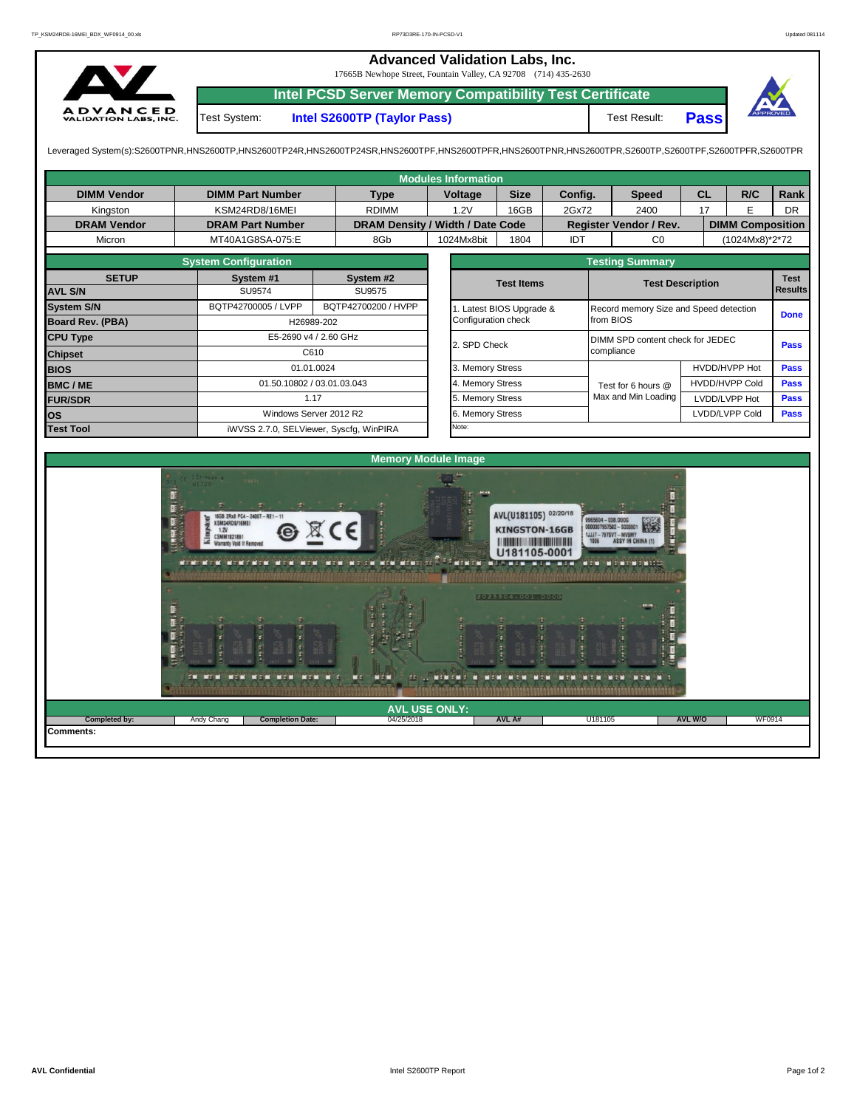## **Advanced Validation Labs, Inc.**  17665B Newhope Street, Fountain Valley, CA 92708 (714) 435-2630 **Intel PCSD Server Memory Compatibility Test Certificate** A D V A N C E D<br>VALIDATION LABS, INC. Test System: **Intel S2600TP (Taylor Pass)** Test Result: **Pass**

Leveraged System(s):S2600TPNR,HNS2600TP,HNS2600TP24R,HNS2600TP24SR,HNS2600TPF,HNS2600TPRR,HNS2600TPR,S2600TPR,S2600TPR,S2600TPR,S2600TPR,S2600TPFR,S2600TPFR,S2600TPR

| <b>Modules Information</b> |                                                                                                                                              |                            |                            |              |                                  |                                                                                                                             |                          |                                          |                                                                        |                                  |                                        |                         |                            |  |  |  |
|----------------------------|----------------------------------------------------------------------------------------------------------------------------------------------|----------------------------|----------------------------|--------------|----------------------------------|-----------------------------------------------------------------------------------------------------------------------------|--------------------------|------------------------------------------|------------------------------------------------------------------------|----------------------------------|----------------------------------------|-------------------------|----------------------------|--|--|--|
| <b>DIMM Vendor</b>         | <b>DIMM Part Number</b>                                                                                                                      |                            |                            | Voltage      |                                  | <b>Size</b><br>Config.                                                                                                      |                          |                                          | <b>Speed</b>                                                           |                                  | <b>CL</b>                              | R/C                     | Rank                       |  |  |  |
| Kingston                   | KSM24RD8/16MEI                                                                                                                               |                            | <b>RDIMM</b>               |              | 1.2V                             | 16GB                                                                                                                        | 2Gx72                    |                                          | 2400                                                                   |                                  | 17                                     | E.                      | <b>DR</b>                  |  |  |  |
| <b>DRAM Vendor</b>         | <b>DRAM Part Number</b>                                                                                                                      |                            |                            |              | DRAM Density / Width / Date Code |                                                                                                                             |                          |                                          | Register Vendor / Rev.                                                 |                                  |                                        | <b>DIMM Composition</b> |                            |  |  |  |
| Micron                     | MT40A1G8SA-075:E                                                                                                                             |                            |                            |              | 1024Mx8bit                       | 1804                                                                                                                        | IDT                      |                                          | CO                                                                     |                                  |                                        | (1024Mx8)*2*72          |                            |  |  |  |
|                            | <b>System Configuration</b>                                                                                                                  |                            |                            |              |                                  |                                                                                                                             | <b>Testing Summary</b>   |                                          |                                                                        |                                  |                                        |                         |                            |  |  |  |
| <b>SETUP</b>               | System #1                                                                                                                                    |                            | System #2                  |              | <b>Test Items</b>                |                                                                                                                             |                          |                                          |                                                                        | <b>Test</b>                      |                                        |                         |                            |  |  |  |
| <b>AVL S/N</b>             | <b>SU9574</b>                                                                                                                                | <b>SU9575</b>              |                            |              |                                  |                                                                                                                             |                          |                                          |                                                                        |                                  | <b>Test Description</b>                |                         |                            |  |  |  |
| <b>System S/N</b>          | BQTP42700005 / LVPP                                                                                                                          | BQTP42700200 / HVPP        |                            |              |                                  |                                                                                                                             | 1. Latest BIOS Upgrade & |                                          |                                                                        |                                  | Record memory Size and Speed detection |                         |                            |  |  |  |
| <b>Board Rev. (PBA)</b>    |                                                                                                                                              | H26989-202                 |                            |              |                                  |                                                                                                                             |                          | from BIOS                                |                                                                        |                                  |                                        |                         | <b>Done</b>                |  |  |  |
| <b>CPU Type</b>            | E5-2690 v4 / 2.60 GHz                                                                                                                        |                            |                            | 2. SPD Check |                                  |                                                                                                                             |                          |                                          |                                                                        | DIMM SPD content check for JEDEC |                                        |                         |                            |  |  |  |
| <b>Chipset</b>             |                                                                                                                                              | C610                       |                            |              |                                  |                                                                                                                             |                          | compliance                               |                                                                        |                                  |                                        |                         | <b>Pass</b><br><b>Pass</b> |  |  |  |
| <b>BIOS</b>                |                                                                                                                                              | 01.01.0024                 |                            |              |                                  | 3. Memory Stress                                                                                                            |                          |                                          |                                                                        | HVDD/HVPP Hot                    |                                        |                         |                            |  |  |  |
| <b>BMC/ME</b>              |                                                                                                                                              | 01.50.10802 / 03.01.03.043 |                            |              |                                  | 4. Memory Stress                                                                                                            |                          |                                          | Test for 6 hours @                                                     |                                  | <b>HVDD/HVPP Cold</b>                  |                         | <b>Pass</b>                |  |  |  |
| <b>FUR/SDR</b>             |                                                                                                                                              | 1.17                       |                            |              |                                  | 5. Memory Stress                                                                                                            |                          |                                          | Max and Min Loading                                                    |                                  |                                        | LVDD/LVPP Hot           | <b>Pass</b>                |  |  |  |
| <b>los</b>                 |                                                                                                                                              | Windows Server 2012 R2     |                            |              |                                  | 6. Memory Stress                                                                                                            |                          |                                          | LVDD/LVPP Cold                                                         |                                  |                                        | <b>Pass</b>             |                            |  |  |  |
| <b>Test Tool</b>           | iWVSS 2.7.0, SELViewer, Syscfg, WinPIRA                                                                                                      |                            |                            |              | Note:                            |                                                                                                                             |                          |                                          |                                                                        |                                  |                                        |                         |                            |  |  |  |
|                            |                                                                                                                                              |                            |                            |              |                                  |                                                                                                                             |                          |                                          |                                                                        |                                  |                                        |                         |                            |  |  |  |
|                            |                                                                                                                                              |                            | <b>Memory Module Image</b> |              |                                  |                                                                                                                             |                          |                                          |                                                                        |                                  |                                        |                         |                            |  |  |  |
|                            | 16GB 2Rx8 PC4-2400T-RE1-11<br>KSM24RD8/16MEI<br>1.2V<br><b>CSMM1821891</b><br><b>Warranty Void If Remover</b><br><b>THE REPORT OF STREET</b> |                            | MEM MELEM MEMBERSHIP       |              | r ar ar a                        | AVL(U181105) 02/20/18<br><b>KINGSTON-16GB</b><br><b>The Community of the Community</b><br>11181105-0001<br>2025604-001.DOOG |                          | 9965604 - 038.DOOG<br>1JJJ7-797SVT-MV9MY | 0000007957582 - \$000001<br><b>ASSY IN CHINA (1)</b><br>WIN WINTERNIES |                                  |                                        |                         |                            |  |  |  |

04/25/2018 **AVL A# AVL USE ONLY: Completed by:** Andy Chang **AVL W/O** WF0914

red foll D.

U18110

 $H = H$ 

MIN NIN NIN NIN NIN NIN

**Completion Date:** 

 $H = H$ 

n

**TER** 

m

п

anya

**Comments:**